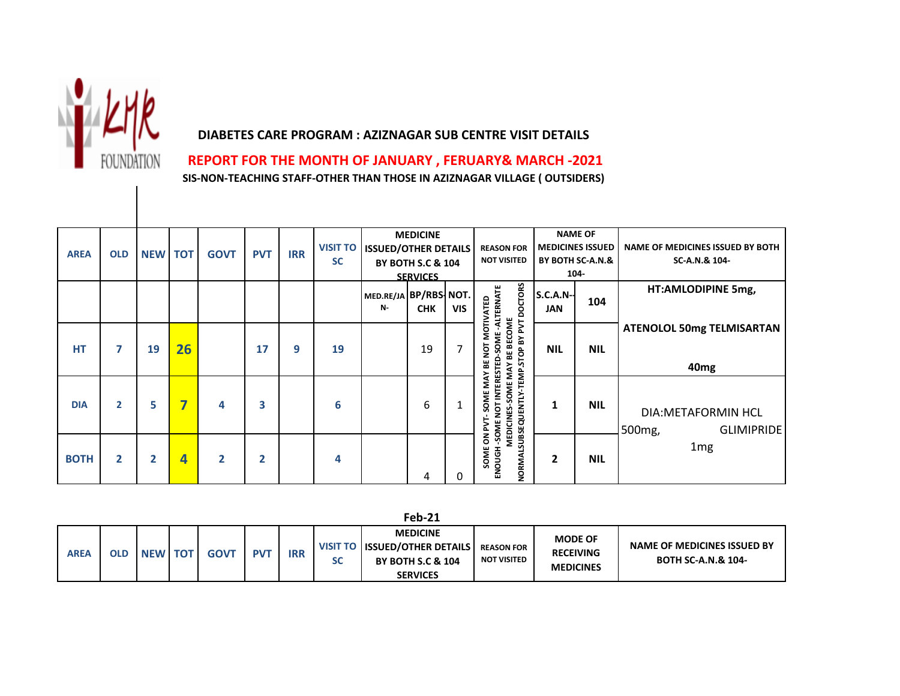

## **DIABETES CARE PROGRAM : AZIZNAGAR SUB CENTRE VISIT DETAILS**

 **REPORT FOR THE MONTH OF JANUARY , FERUARY& MARCH -2021**

**SIS-NON-TEACHING STAFF-OTHER THAN THOSE IN AZIZNAGAR VILLAGE ( OUTSIDERS)**

|             |              |                |    |              |            |            | <b>VISIT TO</b> | <b>ISSUED/OTHER DETAILS</b>        | <b>MEDICINE</b>                                 |            | <b>REASON FOR</b>                                                                                       |                                | <b>NAME OF</b><br><b>MEDICINES ISSUED</b> | <b>NAME OF MEDICINES ISSUED BY BOTH</b>                             |
|-------------|--------------|----------------|----|--------------|------------|------------|-----------------|------------------------------------|-------------------------------------------------|------------|---------------------------------------------------------------------------------------------------------|--------------------------------|-------------------------------------------|---------------------------------------------------------------------|
| <b>AREA</b> | <b>OLD</b>   | <b>NEW TOT</b> |    | <b>GOVT</b>  | <b>PVT</b> | <b>IRR</b> | <b>SC</b>       |                                    | <b>BY BOTH S.C &amp; 104</b><br><b>SERVICES</b> |            | <b>NOT VISITED</b>                                                                                      |                                | BY BOTH SC-A.N.&<br>104-                  | SC-A.N.& 104-                                                       |
|             |              |                |    |              |            |            |                 | MED.RE/JA BP/RBS NOT.<br><b>N-</b> | <b>CHK</b>                                      | <b>VIS</b> | <b>DOCTORS</b><br>-ALTERNATE<br><b>MOTIVATED</b>                                                        | <b>S.C.A.N--</b><br><b>JAN</b> | 104                                       | HT:AMLODIPINE 5mg,                                                  |
| HT          | 7            | 19             | 26 |              | 17         | 9          | 19              |                                    | 19                                              | 7          | <b>BECOME</b><br><b>TV4 AB 4015</b><br>poz<br>MAY BE I<br>BE                                            | <b>NIL</b>                     | <b>NIL</b>                                | <b>ATENOLOL 50mg TELMISARTAN</b><br>40 <sub>mg</sub>                |
| <b>DIA</b>  | $\mathbf{2}$ | 5              | ∍  | 4            | 3          |            | 6               |                                    | 6                                               |            | -SOME NOT INTERESTED-SOME<br>NORMALSUBSEQUENTLY-TEMP<br>SOME MAY<br><b>SOME</b><br>MEDICINES-<br>DN PVT |                                | <b>NIL</b>                                | <b>DIA:METAFORMIN HCL</b><br>500 <sub>mg</sub><br><b>GLIMIPRIDE</b> |
| <b>BOTH</b> | $\mathbf{2}$ | 2              | 4  | $\mathbf{2}$ | 2          |            | 4               |                                    | 4                                               | 0          | <b>SOME</b><br>ENOUGH                                                                                   | 2                              | <b>NIL</b>                                | 1 <sub>mg</sub>                                                     |

**Feb-21**

| <b>AREA</b> | OLD | <b>NEW TOT</b> | <b>GOVT</b> | $PV^{\mathsf{T}}$ | <b>IRR</b> | - Jean- | <b>MEDICINE</b><br>VISIT TO ISSUED/OTHER DETAILS<br><b>BY BOTH S.C &amp; 104</b> | <b>REASON FOR</b><br><b>NOT VISITED</b> | <b>MODE OF</b><br><b>RECEIVING</b> | NAME OF MEDICINES ISSUED BY<br><b>BOTH SC-A.N.&amp; 104-</b> |
|-------------|-----|----------------|-------------|-------------------|------------|---------|----------------------------------------------------------------------------------|-----------------------------------------|------------------------------------|--------------------------------------------------------------|
|             |     |                |             |                   |            |         |                                                                                  |                                         |                                    |                                                              |
|             |     |                |             |                   |            |         | <b>SERVICES</b>                                                                  |                                         | <b>MEDICINES</b>                   |                                                              |